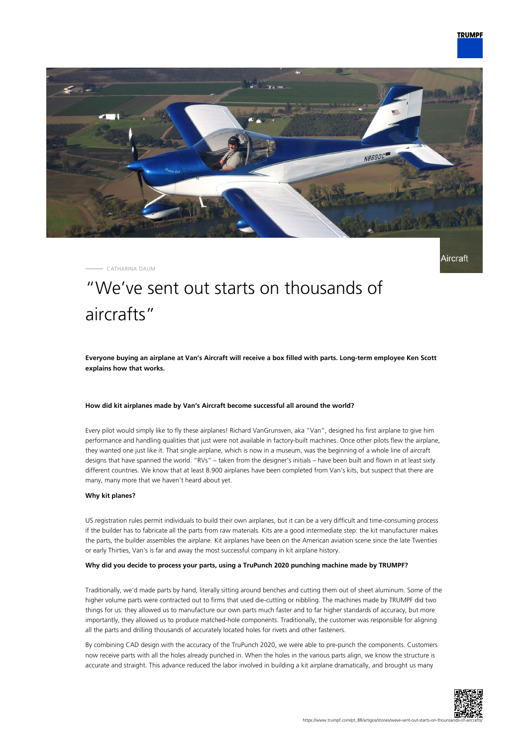

Aircraft



CATHARINA DAUM

# "We've sent out starts on thousands of aircrafts"

**Everyone buying an airplane at Van's Aircraft will receive a box filled with parts. Long-term employee Ken Scott explains how that works.**

## **How did kit airplanes made by Van's Aircraft become successful all around the world?**

Every pilot would simply like to fly these airplanes! Richard VanGrunsven, aka "Van", designed his first airplane to give him performance and handling qualities that just were not available in factory-built machines. Once other pilots flew the airplane, they wanted one just like it. That single airplane, which is now in a museum, was the beginning of a whole line of aircraft designs that have spanned the world. "RVs" – taken from the designer's initials – have been built and flown in at least sixty different countries. We know that at least 8.900 airplanes have been completed from Van's kits, but suspect that there are many, many more that we haven't heard about yet.

#### **Why kit planes?**

US registration rules permit individuals to build their own airplanes, but it can be a very difficult and time-consuming process if the builder has to fabricate all the parts from raw materials. Kits are a good intermediate step: the kit manufacturer makes the parts, the builder assembles the airplane. Kit airplanes have been on the American aviation scene since the late Twenties or early Thirties, Van's is far and away the most successful company in kit airplane history.

## **Why did you decide to process your parts, using a TruPunch 2020 punching machine made by TRUMPF?**

Traditionally, we'd made parts by hand, literally sitting around benches and cutting them out of sheet aluminum. Some of the higher volume parts were contracted out to firms that used die-cutting or nibbling. The machines made by TRUMPF did two things for us: they allowed us to manufacture our own parts much faster and to far higher standards of accuracy, but more importantly, they allowed us to produce matched-hole components. Traditionally, the customer was responsible for aligning all the parts and drilling thousands of accurately located holes for rivets and other fasteners.

By combining CAD design with the accuracy of the TruPunch 2020, we were able to pre-punch the components. Customers now receive parts with all the holes already punched in. When the holes in the various parts align, we know the structure is accurate and straight. This advance reduced the labor involved in building a kit airplane dramatically, and brought us many